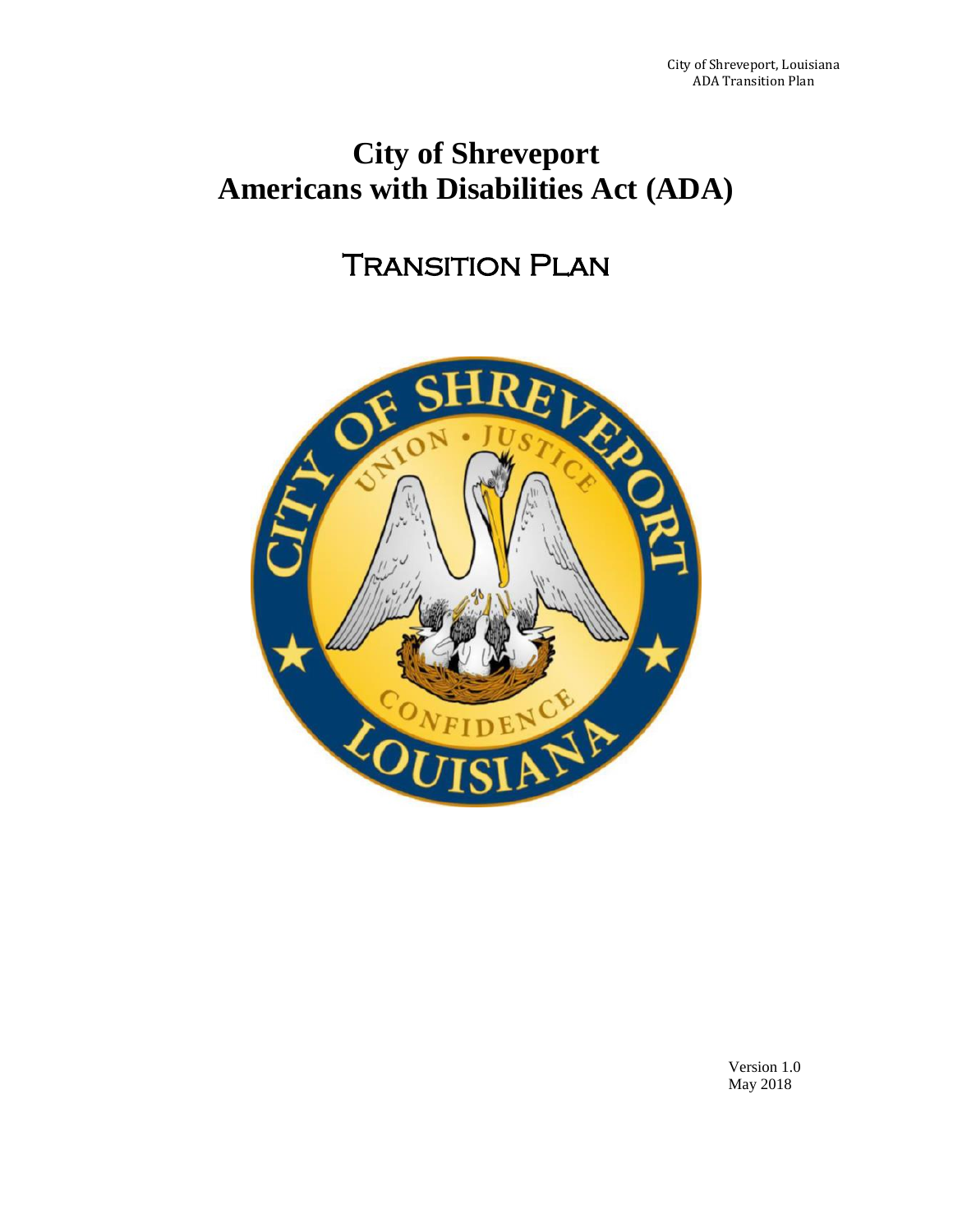# **City of Shreveport Americans with Disabilities Act (ADA)**

# Transition Plan



Version 1.0 May 2018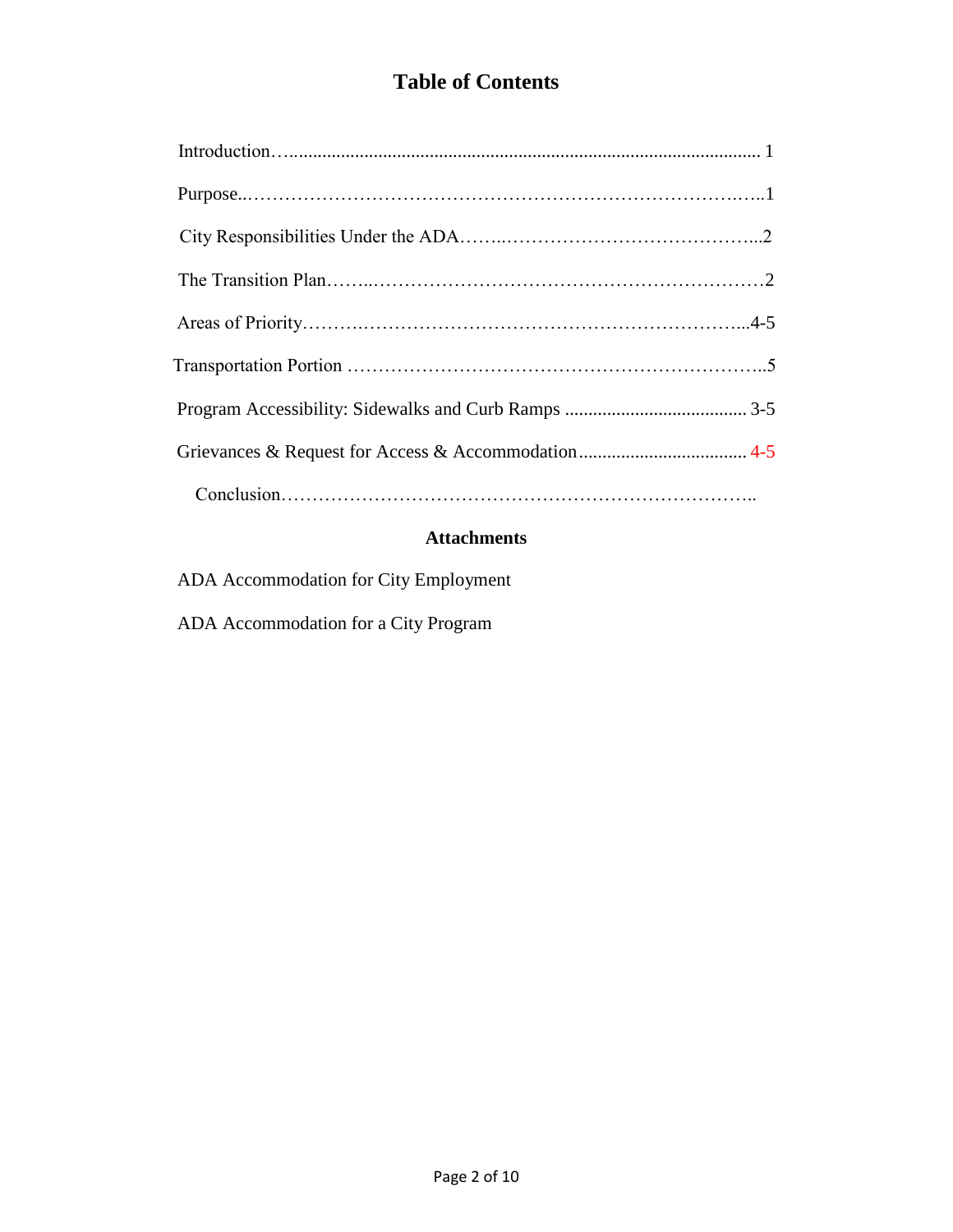# **Table of Contents**

# **Attachments**

ADA Accommodation for City Employment

ADA Accommodation for a City Program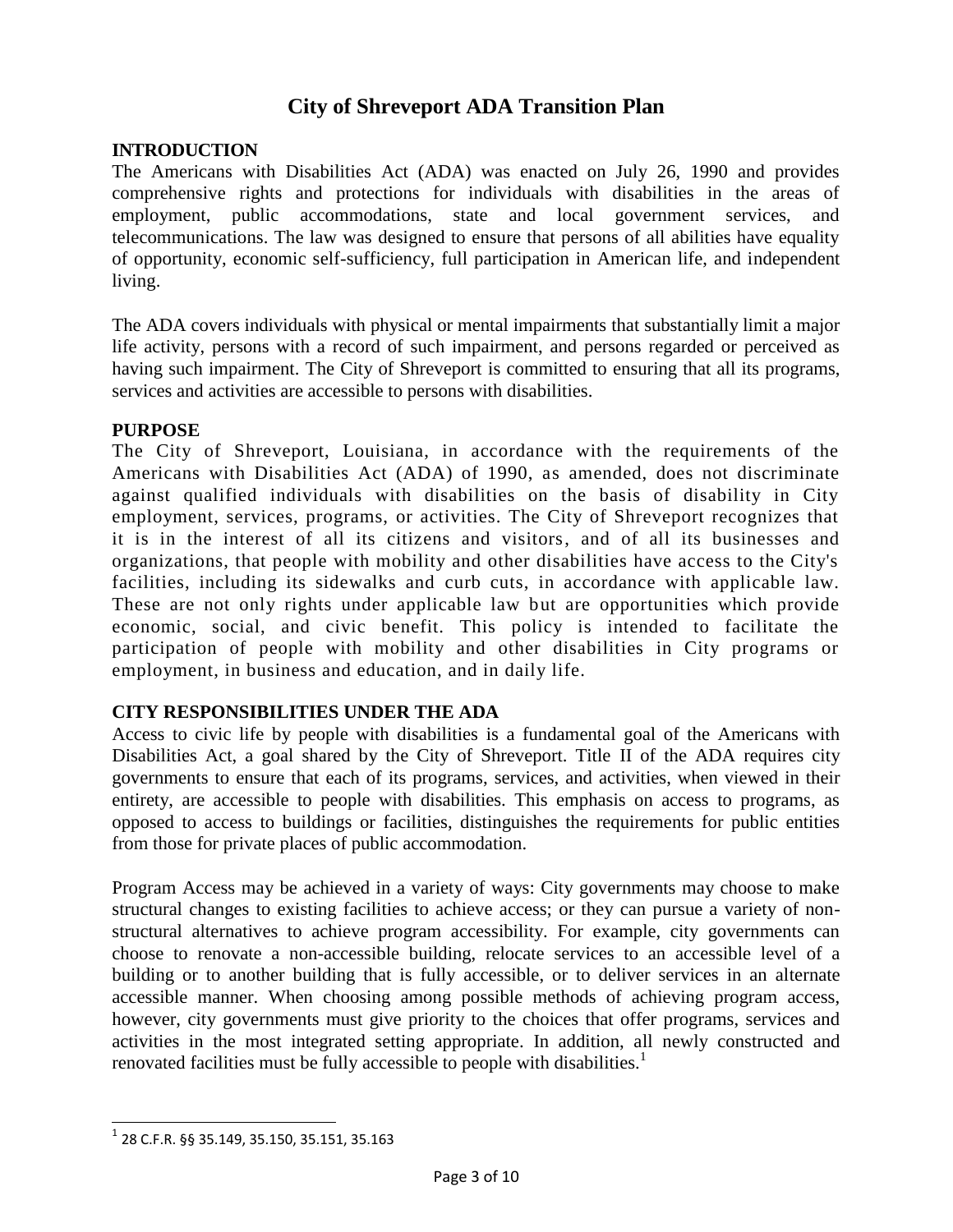# **City of Shreveport ADA Transition Plan**

#### **INTRODUCTION**

The Americans with Disabilities Act (ADA) was enacted on July 26, 1990 and provides comprehensive rights and protections for individuals with disabilities in the areas of employment, public accommodations, state and local government services, and telecommunications. The law was designed to ensure that persons of all abilities have equality of opportunity, economic self-sufficiency, full participation in American life, and independent living.

The ADA covers individuals with physical or mental impairments that substantially limit a major life activity, persons with a record of such impairment, and persons regarded or perceived as having such impairment. The City of Shreveport is committed to ensuring that all its programs, services and activities are accessible to persons with disabilities.

#### **PURPOSE**

The City of Shreveport, Louisiana, in accordance with the requirements of the Americans with Disabilities Act (ADA) of 1990, as amended, does not discriminate against qualified individuals with disabilities on the basis of disability in City employment, services, programs, or activities. The City of Shreveport recognizes that it is in the interest of all its citizens and visitors, and of all its businesses and organizations, that people with mobility and other disabilities have access to the City's facilities, including its sidewalks and curb cuts, in accordance with applicable law. These are not only rights under applicable law but are opportunities which provide economic, social, and civic benefit. This policy is intended to facilitate the participation of people with mobility and other disabilities in City programs or employment, in business and education, and in daily life.

#### **CITY RESPONSIBILITIES UNDER THE ADA**

Access to civic life by people with disabilities is a fundamental goal of the Americans with Disabilities Act, a goal shared by the City of Shreveport. Title II of the ADA requires city governments to ensure that each of its programs, services, and activities, when viewed in their entirety, are accessible to people with disabilities. This emphasis on access to programs, as opposed to access to buildings or facilities, distinguishes the requirements for public entities from those for private places of public accommodation.

Program Access may be achieved in a variety of ways: City governments may choose to make structural changes to existing facilities to achieve access; or they can pursue a variety of nonstructural alternatives to achieve program accessibility. For example, city governments can choose to renovate a non-accessible building, relocate services to an accessible level of a building or to another building that is fully accessible, or to deliver services in an alternate accessible manner. When choosing among possible methods of achieving program access, however, city governments must give priority to the choices that offer programs, services and activities in the most integrated setting appropriate. In addition, all newly constructed and renovated facilities must be fully accessible to people with disabilities.<sup>1</sup>

 1 28 C.F.R. §§ 35.149, 35.150, 35.151, 35.163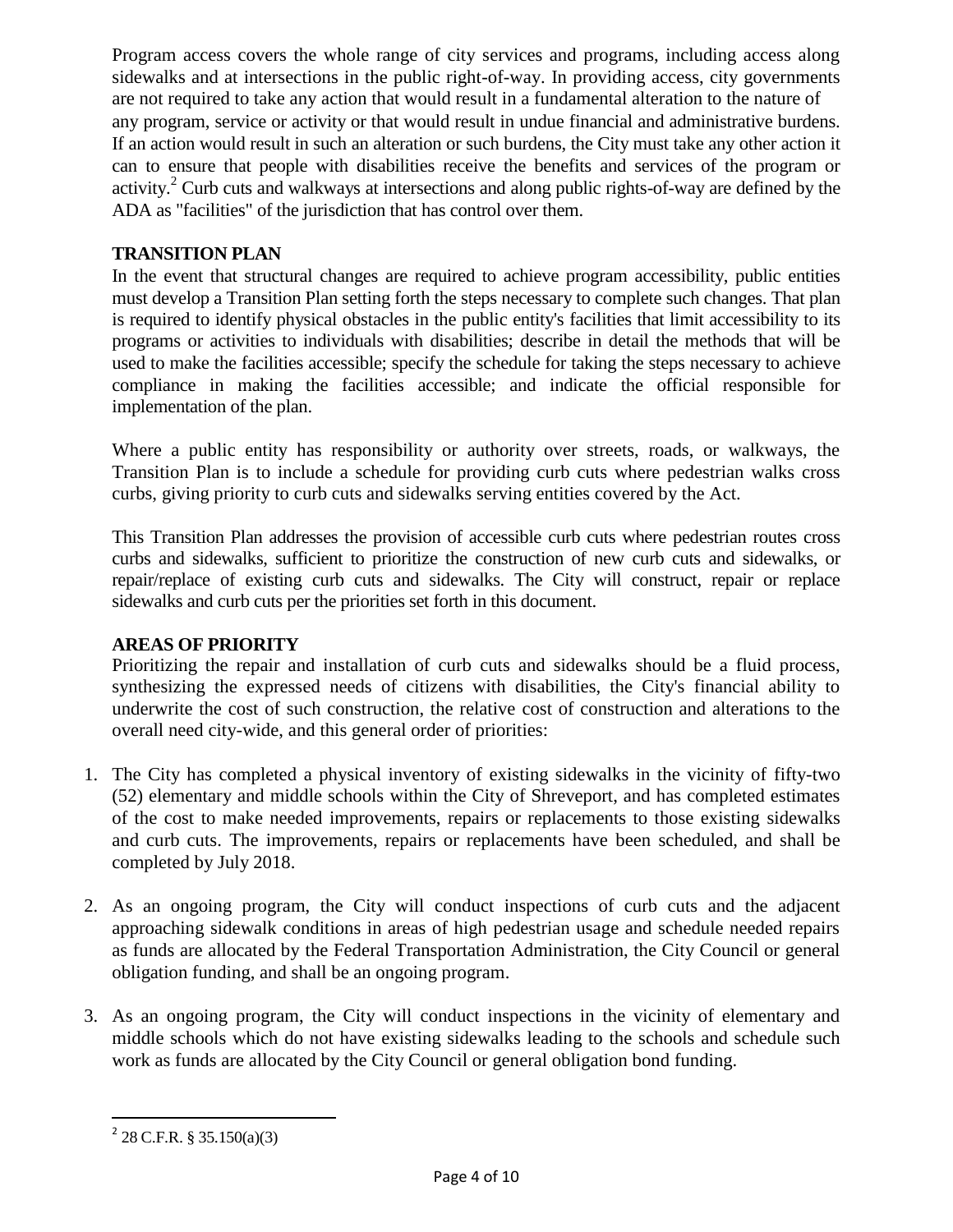Program access covers the whole range of city services and programs, including access along sidewalks and at intersections in the public right-of-way. In providing access, city governments are not required to take any action that would result in a fundamental alteration to the nature of any program, service or activity or that would result in undue financial and administrative burdens. If an action would result in such an alteration or such burdens, the City must take any other action it can to ensure that people with disabilities receive the benefits and services of the program or activity.<sup>2</sup> Curb cuts and walkways at intersections and along public rights-of-way are defined by the ADA as "facilities" of the jurisdiction that has control over them.

### **TRANSITION PLAN**

In the event that structural changes are required to achieve program accessibility, public entities must develop a Transition Plan setting forth the steps necessary to complete such changes. That plan is required to identify physical obstacles in the public entity's facilities that limit accessibility to its programs or activities to individuals with disabilities; describe in detail the methods that will be used to make the facilities accessible; specify the schedule for taking the steps necessary to achieve compliance in making the facilities accessible; and indicate the official responsible for implementation of the plan.

Where a public entity has responsibility or authority over streets, roads, or walkways, the Transition Plan is to include a schedule for providing curb cuts where pedestrian walks cross curbs, giving priority to curb cuts and sidewalks serving entities covered by the Act.

This Transition Plan addresses the provision of accessible curb cuts where pedestrian routes cross curbs and sidewalks, sufficient to prioritize the construction of new curb cuts and sidewalks, or repair/replace of existing curb cuts and sidewalks. The City will construct, repair or replace sidewalks and curb cuts per the priorities set forth in this document.

#### **AREAS OF PRIORITY**

Prioritizing the repair and installation of curb cuts and sidewalks should be a fluid process, synthesizing the expressed needs of citizens with disabilities, the City's financial ability to underwrite the cost of such construction, the relative cost of construction and alterations to the overall need city-wide, and this general order of priorities:

- 1. The City has completed a physical inventory of existing sidewalks in the vicinity of fifty-two (52) elementary and middle schools within the City of Shreveport, and has completed estimates of the cost to make needed improvements, repairs or replacements to those existing sidewalks and curb cuts. The improvements, repairs or replacements have been scheduled, and shall be completed by July 2018.
- 2. As an ongoing program, the City will conduct inspections of curb cuts and the adjacent approaching sidewalk conditions in areas of high pedestrian usage and schedule needed repairs as funds are allocated by the Federal Transportation Administration, the City Council or general obligation funding, and shall be an ongoing program.
- 3. As an ongoing program, the City will conduct inspections in the vicinity of elementary and middle schools which do not have existing sidewalks leading to the schools and schedule such work as funds are allocated by the City Council or general obligation bond funding.

 $\overline{a}$ 

 $^{2}$  28 C.F.R. § 35.150(a)(3)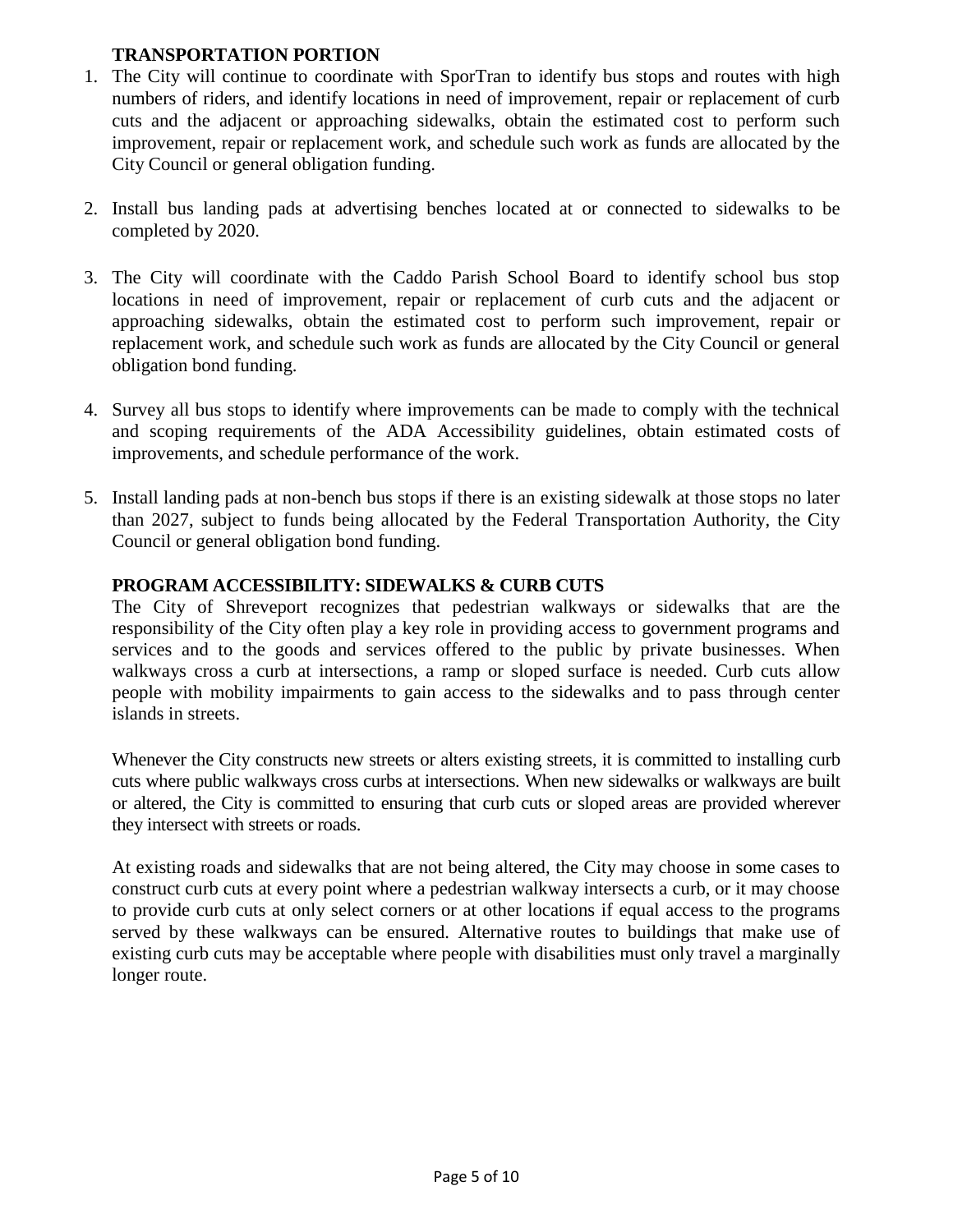# **TRANSPORTATION PORTION**

- 1. The City will continue to coordinate with SporTran to identify bus stops and routes with high numbers of riders, and identify locations in need of improvement, repair or replacement of curb cuts and the adjacent or approaching sidewalks, obtain the estimated cost to perform such improvement, repair or replacement work, and schedule such work as funds are allocated by the City Council or general obligation funding.
- 2. Install bus landing pads at advertising benches located at or connected to sidewalks to be completed by 2020.
- 3. The City will coordinate with the Caddo Parish School Board to identify school bus stop locations in need of improvement, repair or replacement of curb cuts and the adjacent or approaching sidewalks, obtain the estimated cost to perform such improvement, repair or replacement work, and schedule such work as funds are allocated by the City Council or general obligation bond funding.
- 4. Survey all bus stops to identify where improvements can be made to comply with the technical and scoping requirements of the ADA Accessibility guidelines, obtain estimated costs of improvements, and schedule performance of the work.
- 5. Install landing pads at non-bench bus stops if there is an existing sidewalk at those stops no later than 2027, subject to funds being allocated by the Federal Transportation Authority, the City Council or general obligation bond funding.

#### **PROGRAM ACCESSIBILITY: SIDEWALKS & CURB CUTS**

The City of Shreveport recognizes that pedestrian walkways or sidewalks that are the responsibility of the City often play a key role in providing access to government programs and services and to the goods and services offered to the public by private businesses. When walkways cross a curb at intersections, a ramp or sloped surface is needed. Curb cuts allow people with mobility impairments to gain access to the sidewalks and to pass through center islands in streets.

Whenever the City constructs new streets or alters existing streets, it is committed to installing curb cuts where public walkways cross curbs at intersections. When new sidewalks or walkways are built or altered, the City is committed to ensuring that curb cuts or sloped areas are provided wherever they intersect with streets or roads.

At existing roads and sidewalks that are not being altered, the City may choose in some cases to construct curb cuts at every point where a pedestrian walkway intersects a curb, or it may choose to provide curb cuts at only select corners or at other locations if equal access to the programs served by these walkways can be ensured. Alternative routes to buildings that make use of existing curb cuts may be acceptable where people with disabilities must only travel a marginally longer route.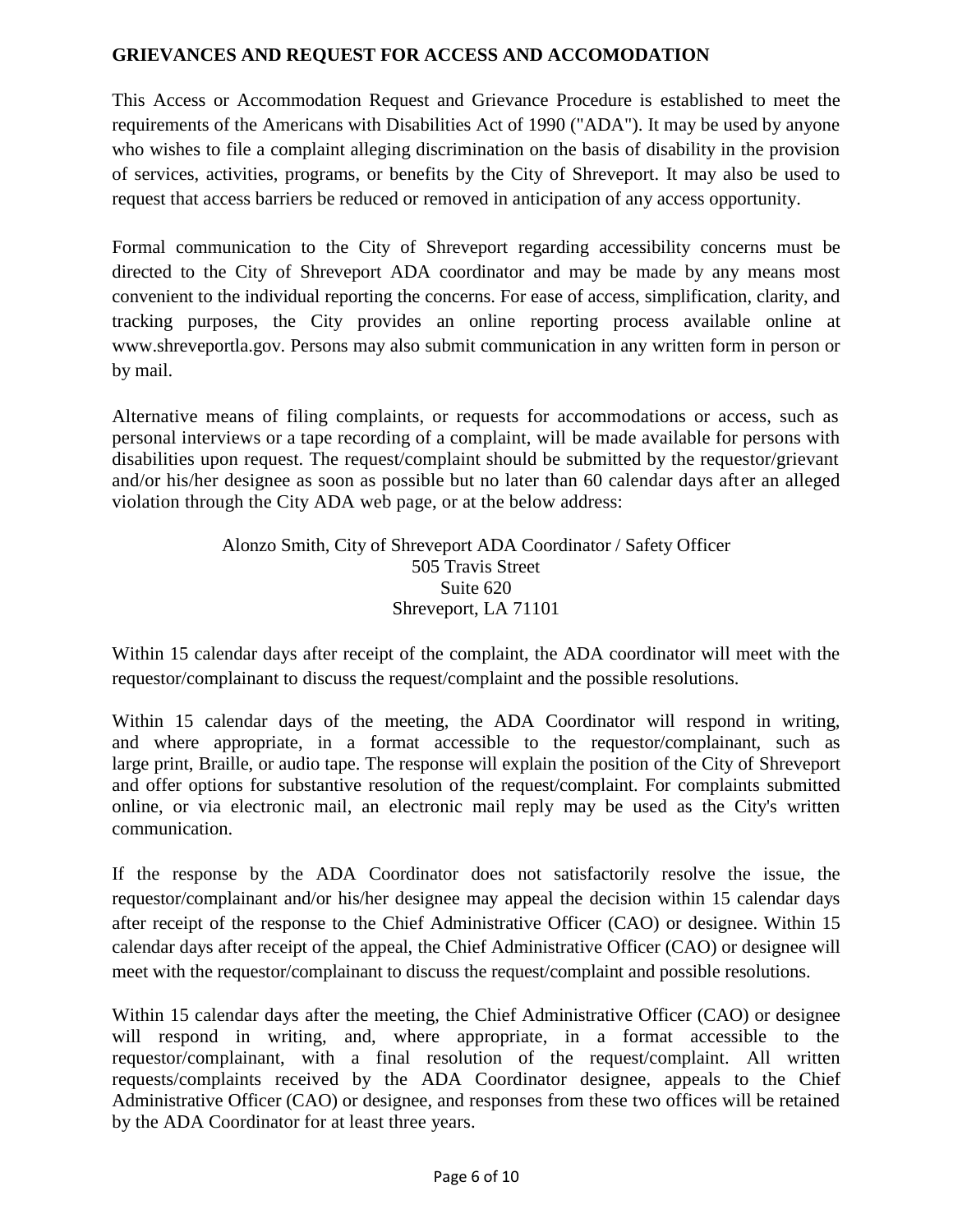# **GRIEVANCES AND REQUEST FOR ACCESS AND ACCOMODATION**

This Access or Accommodation Request and Grievance Procedure is established to meet the requirements of the Americans with Disabilities Act of 1990 ("ADA"). It may be used by anyone who wishes to file a complaint alleging discrimination on the basis of disability in the provision of services, activities, programs, or benefits by the City of Shreveport. It may also be used to request that access barriers be reduced or removed in anticipation of any access opportunity.

Formal communication to the City of Shreveport regarding accessibility concerns must be directed to the City of Shreveport ADA coordinator and may be made by any means most convenient to the individual reporting the concerns. For ease of access, simplification, clarity, and tracking purposes, the City provides an online reporting process available online at www.shreveportla.gov. Persons may also submit communication in any written form in person or by mail.

Alternative means of filing complaints, or requests for accommodations or access, such as personal interviews or a tape recording of a complaint, will be made available for persons with disabilities upon request. The request/complaint should be submitted by the requestor/grievant and/or his/her designee as soon as possible but no later than 60 calendar days after an alleged violation through the City ADA web page, or at the below address:

#### Alonzo Smith, City of Shreveport ADA Coordinator / Safety Officer 505 Travis Street Suite 620 Shreveport, LA 71101

Within 15 calendar days after receipt of the complaint, the ADA coordinator will meet with the requestor/complainant to discuss the request/complaint and the possible resolutions.

Within 15 calendar days of the meeting, the ADA Coordinator will respond in writing, and where appropriate, in a format accessible to the requestor/complainant, such as large print, Braille, or audio tape. The response will explain the position of the City of Shreveport and offer options for substantive resolution of the request/complaint. For complaints submitted online, or via electronic mail, an electronic mail reply may be used as the City's written communication.

If the response by the ADA Coordinator does not satisfactorily resolve the issue, the requestor/complainant and/or his/her designee may appeal the decision within 15 calendar days after receipt of the response to the Chief Administrative Officer (CAO) or designee. Within 15 calendar days after receipt of the appeal, the Chief Administrative Officer (CAO) or designee will meet with the requestor/complainant to discuss the request/complaint and possible resolutions.

Within 15 calendar days after the meeting, the Chief Administrative Officer (CAO) or designee will respond in writing, and, where appropriate, in a format accessible to the requestor/complainant, with a final resolution of the request/complaint. All written requests/complaints received by the ADA Coordinator designee, appeals to the Chief Administrative Officer (CAO) or designee, and responses from these two offices will be retained by the ADA Coordinator for at least three years.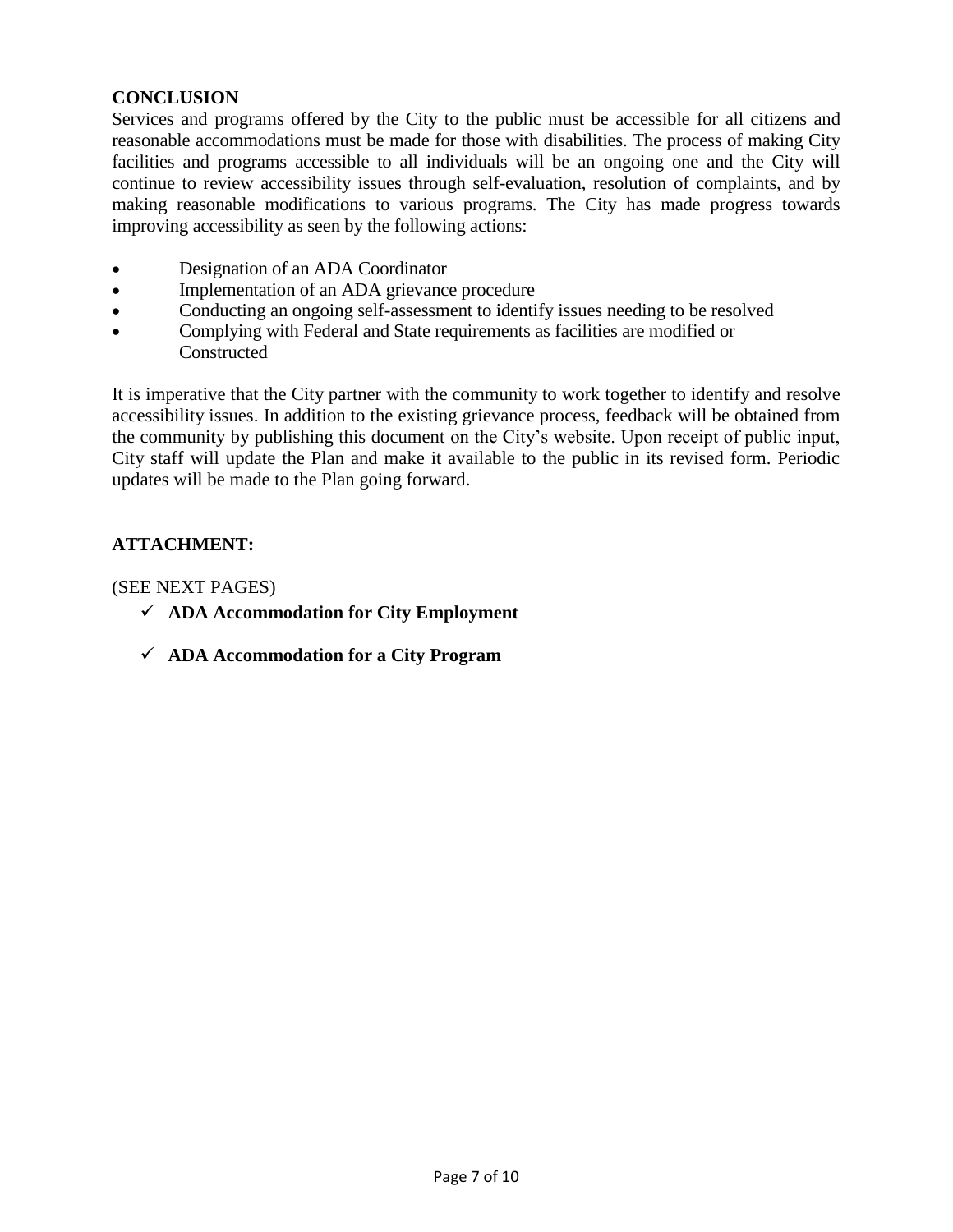# **CONCLUSION**

Services and programs offered by the City to the public must be accessible for all citizens and reasonable accommodations must be made for those with disabilities. The process of making City facilities and programs accessible to all individuals will be an ongoing one and the City will continue to review accessibility issues through self-evaluation, resolution of complaints, and by making reasonable modifications to various programs. The City has made progress towards improving accessibility as seen by the following actions:

- Designation of an ADA Coordinator
- Implementation of an ADA grievance procedure
- Conducting an ongoing self-assessment to identify issues needing to be resolved
- Complying with Federal and State requirements as facilities are modified or Constructed

It is imperative that the City partner with the community to work together to identify and resolve accessibility issues. In addition to the existing grievance process, feedback will be obtained from the community by publishing this document on the City's website. Upon receipt of public input, City staff will update the Plan and make it available to the public in its revised form. Periodic updates will be made to the Plan going forward.

# **ATTACHMENT:**

#### (SEE NEXT PAGES)

- **ADA Accommodation for City Employment**
- **ADA Accommodation for a City Program**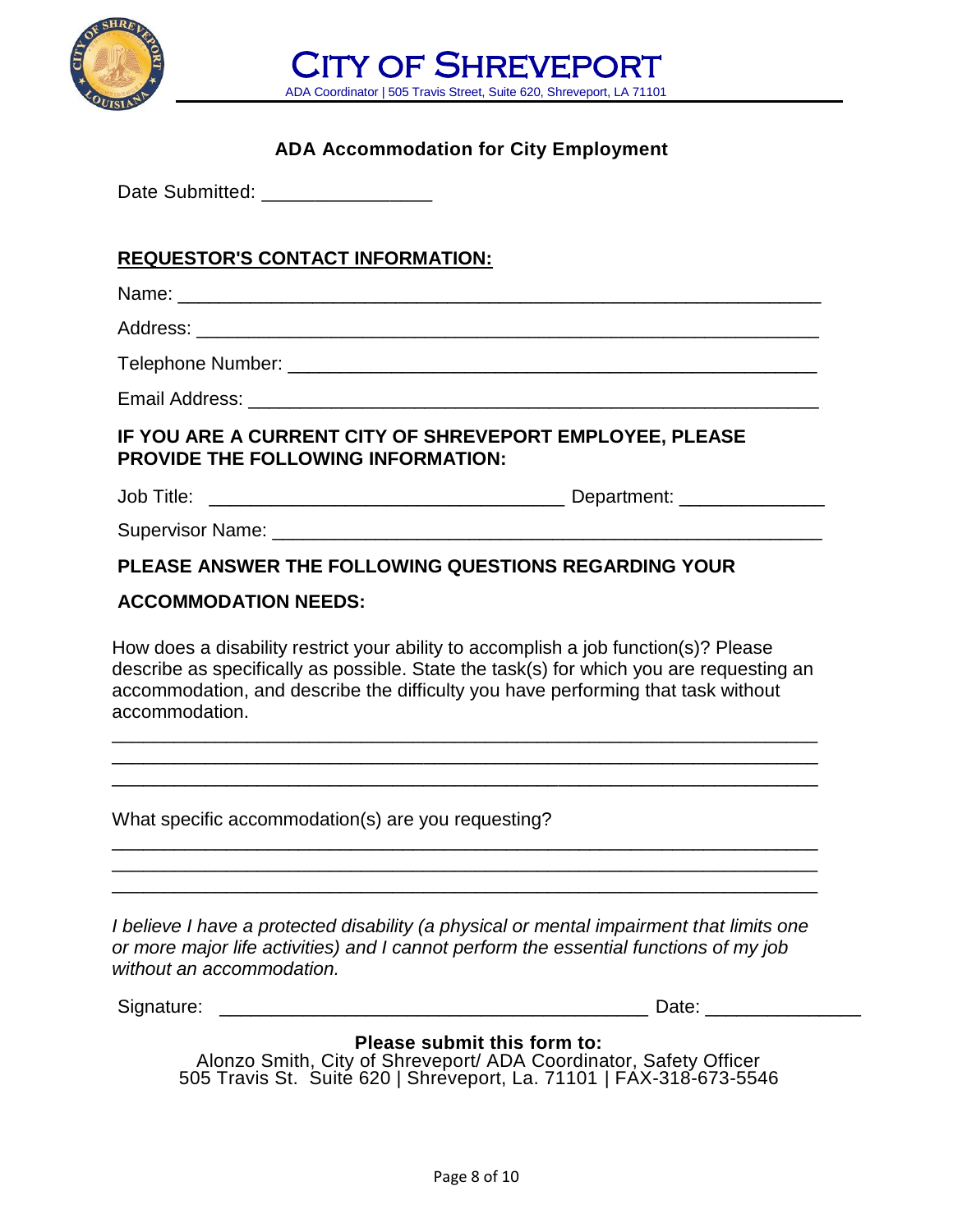

CITY OF SHREVEPORT ADA Coordinator | 505 Travis Street, Suite 620, Shreveport, LA 71101

# **ADA Accommodation for City Employment**

Date Submitted: **Date Submitted**:

# **REQUESTOR'S CONTACT INFORMATION:**

Name: \_\_\_\_\_\_\_\_\_\_\_\_\_\_\_\_\_\_\_\_\_\_\_\_\_\_\_\_\_\_\_\_\_\_\_\_\_\_\_\_\_\_\_\_\_\_\_\_\_\_\_\_\_\_\_\_\_\_\_\_\_\_

Address: \_\_\_\_\_\_\_\_\_\_\_\_\_\_\_\_\_\_\_\_\_\_\_\_\_\_\_\_\_\_\_\_\_\_\_\_\_\_\_\_\_\_\_\_\_\_\_\_\_\_\_\_\_\_\_\_\_\_\_\_

Telephone Number: \_\_\_\_\_\_\_\_\_\_\_\_\_\_\_\_\_\_\_\_\_\_\_\_\_\_\_\_\_\_\_\_\_\_\_\_\_\_\_\_\_\_\_\_\_\_\_\_\_\_\_

Email Address: \_\_\_\_\_\_\_\_\_\_\_\_\_\_\_\_\_\_\_\_\_\_\_\_\_\_\_\_\_\_\_\_\_\_\_\_\_\_\_\_\_\_\_\_\_\_\_\_\_\_\_\_\_\_\_

# **IF YOU ARE A CURRENT CITY OF SHREVEPORT EMPLOYEE, PLEASE PROVIDE THE FOLLOWING INFORMATION:**

Job Title: \_\_\_\_\_\_\_\_\_\_\_\_\_\_\_\_\_\_\_\_\_\_\_\_\_\_\_\_\_\_\_\_\_\_ Department: \_\_\_\_\_\_\_\_\_\_\_\_\_\_

Supervisor Name: \_\_\_\_\_\_\_\_\_\_\_\_\_\_\_\_\_\_\_\_\_\_\_\_\_\_\_\_\_\_\_\_\_\_\_\_\_\_\_\_\_\_\_\_\_\_\_\_\_\_\_\_\_

# **PLEASE ANSWER THE FOLLOWING QUESTIONS REGARDING YOUR**

# **ACCOMMODATION NEEDS:**

How does a disability restrict your ability to accomplish a job function(s)? Please describe as specifically as possible. State the task(s) for which you are requesting an accommodation, and describe the difficulty you have performing that task without accommodation.

\_\_\_\_\_\_\_\_\_\_\_\_\_\_\_\_\_\_\_\_\_\_\_\_\_\_\_\_\_\_\_\_\_\_\_\_\_\_\_\_\_\_\_\_\_\_\_\_\_\_\_\_\_\_\_\_\_\_\_\_\_\_\_\_\_\_\_\_ \_\_\_\_\_\_\_\_\_\_\_\_\_\_\_\_\_\_\_\_\_\_\_\_\_\_\_\_\_\_\_\_\_\_\_\_\_\_\_\_\_\_\_\_\_\_\_\_\_\_\_\_\_\_\_\_\_\_\_\_\_\_\_\_\_\_\_\_ \_\_\_\_\_\_\_\_\_\_\_\_\_\_\_\_\_\_\_\_\_\_\_\_\_\_\_\_\_\_\_\_\_\_\_\_\_\_\_\_\_\_\_\_\_\_\_\_\_\_\_\_\_\_\_\_\_\_\_\_\_\_\_\_\_\_\_\_

\_\_\_\_\_\_\_\_\_\_\_\_\_\_\_\_\_\_\_\_\_\_\_\_\_\_\_\_\_\_\_\_\_\_\_\_\_\_\_\_\_\_\_\_\_\_\_\_\_\_\_\_\_\_\_\_\_\_\_\_\_\_\_\_\_\_\_\_ \_\_\_\_\_\_\_\_\_\_\_\_\_\_\_\_\_\_\_\_\_\_\_\_\_\_\_\_\_\_\_\_\_\_\_\_\_\_\_\_\_\_\_\_\_\_\_\_\_\_\_\_\_\_\_\_\_\_\_\_\_\_\_\_\_\_\_\_ \_\_\_\_\_\_\_\_\_\_\_\_\_\_\_\_\_\_\_\_\_\_\_\_\_\_\_\_\_\_\_\_\_\_\_\_\_\_\_\_\_\_\_\_\_\_\_\_\_\_\_\_\_\_\_\_\_\_\_\_\_\_\_\_\_\_\_\_

What specific accommodation(s) are you requesting?

*I believe I have a protected disability (a physical or mental impairment that limits one or more major life activities) and I cannot perform the essential functions of my job without an accommodation.*

Signature: \_\_\_\_\_\_\_\_\_\_\_\_\_\_\_\_\_\_\_\_\_\_\_\_\_\_\_\_\_\_\_\_\_\_\_\_\_\_\_\_\_ Date: \_\_\_\_\_\_\_\_\_\_\_\_\_\_\_

# **Please submit this form to:**

Alonzo Smith, City of Shreveport/ ADA Coordinator, Safety Officer 505 Travis St. Suite 620 | Shreveport, La. 71101 | FAX-318-673-5546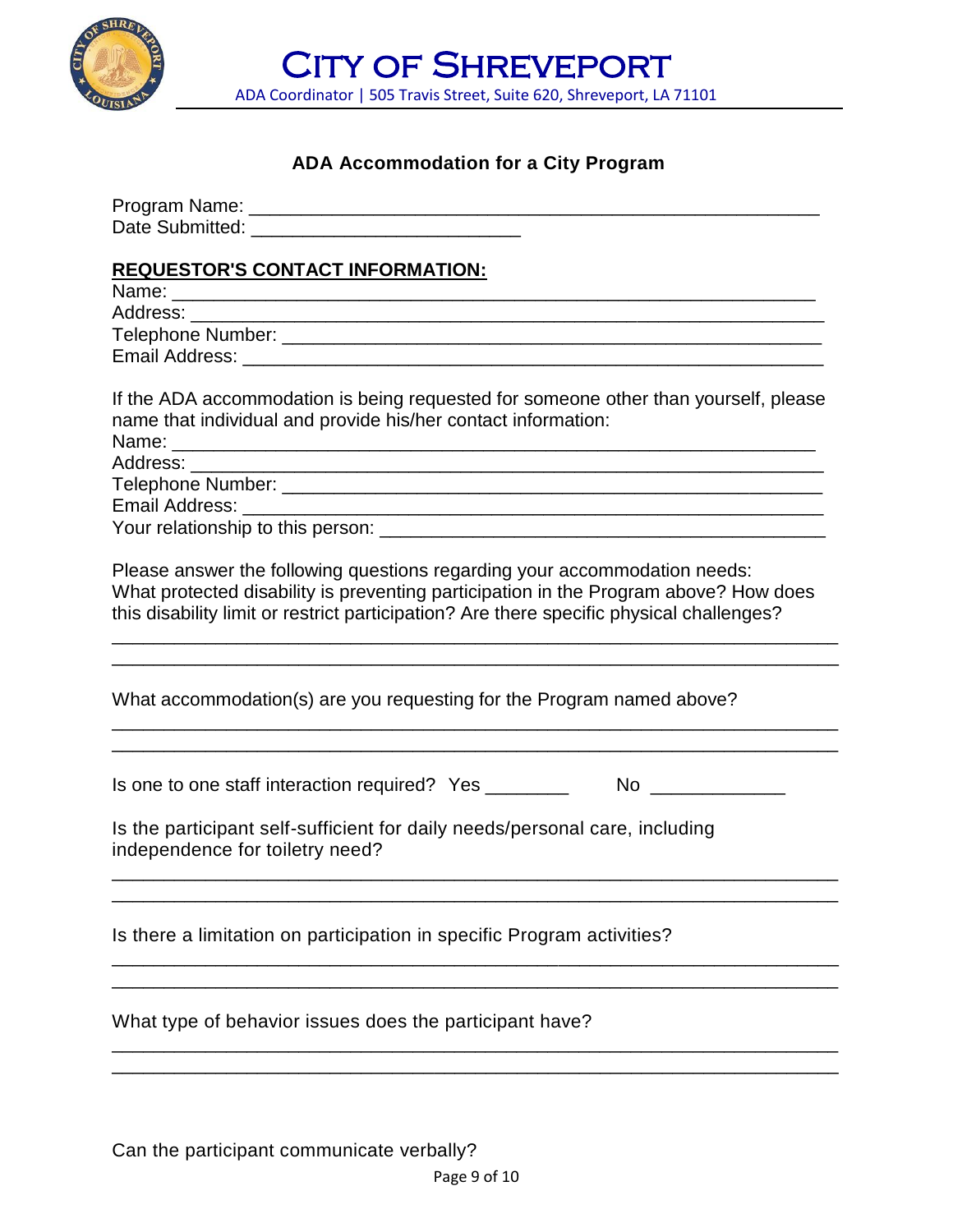

CITY OF SHREVEPORT ADA Coordinator | 505 Travis Street, Suite 620, Shreveport, LA 71101

# **ADA Accommodation for a City Program**

| <b>REQUESTOR'S CONTACT INFORMATION:</b><br>Name: Name:                                                                                                                                                                                                                                   |  |  |  |
|------------------------------------------------------------------------------------------------------------------------------------------------------------------------------------------------------------------------------------------------------------------------------------------|--|--|--|
| If the ADA accommodation is being requested for someone other than yourself, please<br>name that individual and provide his/her contact information:<br>Address:<br><u> 1989 - Jan James James James James James James James James James James James James James James James James J</u> |  |  |  |
| Please answer the following questions regarding your accommodation needs:<br>What protected disability is preventing participation in the Program above? How does<br>this disability limit or restrict participation? Are there specific physical challenges?                            |  |  |  |
| What accommodation(s) are you requesting for the Program named above?                                                                                                                                                                                                                    |  |  |  |
| No _______________<br>Is one to one staff interaction required? Yes _________<br>Is the participant self-sufficient for daily needs/personal care, including<br>independence for toiletry need?                                                                                          |  |  |  |
| Is there a limitation on participation in specific Program activities?                                                                                                                                                                                                                   |  |  |  |
| What type of behavior issues does the participant have?                                                                                                                                                                                                                                  |  |  |  |
|                                                                                                                                                                                                                                                                                          |  |  |  |